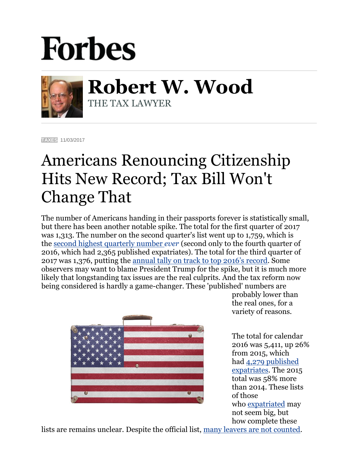## **Forbes**



**Robert W. Wood** THE TAX LAWYER

**[TAXES](https://www.forbes.com/taxes)** 11/03/2017

## Americans Renouncing Citizenship Hits New Record; Tax Bill Won't Change That

The number of Americans handing in their passports forever is statistically small, but there has been another notable spike. The total for the first quarter of 2017 was 1,313. The number on the second quarter's list went up to 1,759, which is the [second highest quarterly number](http://intltax.typepad.com/intltax_blog/2017/08/2017-second-quarter-published-expatriates-second-highest-ever.html) *ever* (second only to the fourth quarter of 2016, which had 2,365 published expatriates). The total for the third quarter of 2017 was 1,376, putting the [annual tally on track to top 2016's record](https://www.bloomberg.com/amp/news/articles/2017-11-01/americans-are-renouncing-citizenship-at-a-record-pace). Some observers may want to blame President Trump for the spike, but it is much more likely that longstanding tax issues are the real culprits. And the tax reform now being considered is hardly a game-changer. These 'published' numbers are



probably lower than the real ones, for a variety of reasons.

The total for calendar 2016 was 5,411, up 26% from 2015, which had [4,279 published](http://intltax.typepad.com/intltax_blog/2016/02/new-expatriate-record-2015-nearly-4300-expatriations.html)  [expatriates.](http://intltax.typepad.com/intltax_blog/2016/02/new-expatriate-record-2015-nearly-4300-expatriations.html) The 2015 total was 58% more than 2014. These lists of those who [expatriated](https://www.federalregister.gov/documents/2017/05/10/2017-09475/quarterly-publication-of-individuals-who-have-chosen-to-expatriate-as-required-by-section-6039g) may not seem big, but how complete these

lists are remains unclear. Despite the official list, [many leavers are not](http://www.forbes.com/sites/robertwood/2014/05/03/americans-are-renouncing-citizenship-at-record-pace-and-many-arent-even-counted/) counted.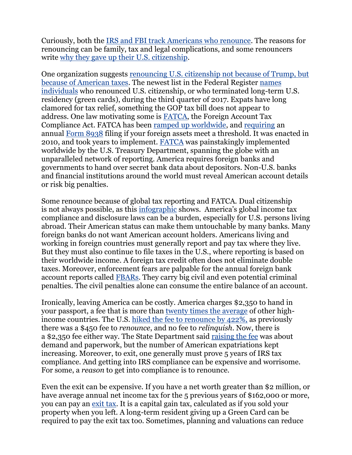Curiously, both the [IRS and FBI track Americans who renounce.](http://www.forbes.com/sites/robertwood/2015/09/21/irs-and-fbi-track-americans-who-renounce-citizenship-why-is-fbi-list-longer/#38baa14c2f84) The reasons for renouncing can be family, tax and legal complications, and some renouncers write why they gave up their [U.S. citizenship.](http://www.forbes.com/sites/robertwood/2016/02/18/dear-mrs-obama-why-i-gave-up-my-u-s-citizenship/#1b2abc0d4429)

One organization suggests [renouncing U.S. citizenship not because of Trump, but](https://americansoverseas.org/en/americans-are-giving-up-their-citizenship-at-record-rates-but-not-because-of-trump/)  [because of American taxes.](https://americansoverseas.org/en/americans-are-giving-up-their-citizenship-at-record-rates-but-not-because-of-trump/) The newest list in the Federal Register [names](https://www.federalregister.gov/documents/2017/11/02/2017-23885/quarterly-publication-of-individuals-who-have-chosen-to-expatriate-as-required-by-section-6039g)  [individuals](https://www.federalregister.gov/documents/2017/11/02/2017-23885/quarterly-publication-of-individuals-who-have-chosen-to-expatriate-as-required-by-section-6039g) who renounced U.S. citizenship, or who terminated long-term U.S. residency (green cards), during the third quarter of 2017. Expats have long clamored for tax relief, something the GOP tax bill does not appear to address. One law motivating some is [FATCA,](http://www.irs.gov/businesses/corporations/article/0,,id=236667,00.html) the Foreign Account Tax Compliance Act. FATCA has been [ramped up worldwide,](http://www.forbes.com/sites/robertwood/2013/09/24/fatcas-bleak-choices-for-accounts-income-disclosure/) and [requiring](http://www.irs.gov/Businesses/Corporations/FATCA-Information-for-Individuals) an annual [Form 8938](https://www.irs.gov/uac/form-8938-statement-of-foreign-financial-assets) filing if your foreign assets meet a threshold. It was enacted in 2010, and took years to implement. [FATCA](http://www.irs.gov/businesses/corporations/article/0,,id=236667,00.html) was painstakingly implemented worldwide by the U.S. Treasury Department, spanning the globe with an unparalleled network of reporting. America requires foreign banks and governments to hand over secret bank data about depositors. Non-U.S. banks and financial institutions around the world must reveal American account details or risk big penalties.

Some renounce because of global tax reporting and FATCA. Dual citizenship is not always possible, as this [infographic](http://www.movehub.com/blog/dual-citizenship-around-the-world-map) shows. America's global income tax compliance and disclosure laws can be a burden, especially for U.S. persons living abroad. Their American status can make them untouchable by many banks. Many foreign banks do not want American account holders. Americans living and working in foreign countries must generally report and pay tax where they live. But they must also continue to file taxes in the U.S., where reporting is based on their worldwide income. A foreign tax credit often does not eliminate double taxes. Moreover, enforcement fears are palpable for the annual foreign bank account reports called [FBARs.](http://www.irs.gov/Businesses/Small-Businesses-&-Self-Employed/Report-of-Foreign-Bank-and-Financial-Accounts-FBAR) They carry big civil and even potential criminal penalties. The civil penalties alone can consume the entire balance of an account.

Ironically, leaving America can be costly. America charges \$2,350 to hand in your passport, a fee that is more than [twenty times the average](http://isaacbrocksociety.ca/2014/08/22/comparison-of-fees-and-procedures-for-renouncing-citizenship-in-various-countries/comment-page-1/) of other highincome countries. The U.S. hiked the [fee to renounce by 422%,](http://www.forbes.com/sites/robertwood/2014/08/28/u-s-hikes-fee-to-renounce-citizenship-by-422/) as previously there was a \$450 fee to *renounce*, and no fee to *relinquish*. Now, there is a \$2,350 fee either way. The State Department said [raising the fee](https://www.federalregister.gov/articles/2014/08/28/2014-20516/schedule-of-fees-for-consular-services-department-of-state-and-overseas-embassies-and#p-amd-2) was about demand and paperwork, but the number of American expatriations kept increasing. Moreover, to exit, one generally must prove 5 years of IRS tax compliance. And getting into IRS compliance can be expensive and worrisome. For some, a *reason* to get into compliance is to renounce.

Even the exit can be expensive. If you have a net worth greater than \$2 million, or have average annual net income tax for the 5 previous vears of \$162,000 or more, you can pay an [exit tax.](http://www.irs.gov/Individuals/International-Taxpayers/Expatriation-Tax) It is a capital gain tax, calculated as if you sold your property when you left. A long-term resident giving up a Green Card can be required to pay the exit tax too. Sometimes, planning and valuations can reduce